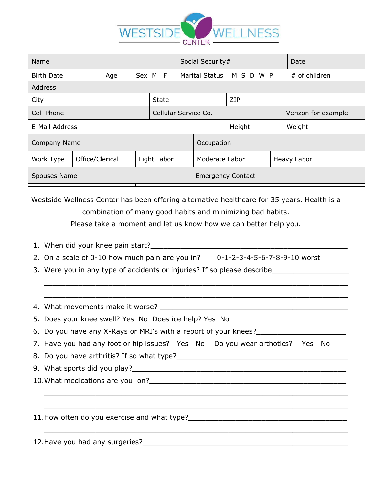

| Name                |                 |     |             |              |                      | Social Security# |                          |        |  |             | Date                |
|---------------------|-----------------|-----|-------------|--------------|----------------------|------------------|--------------------------|--------|--|-------------|---------------------|
| <b>Birth Date</b>   |                 | Age | Sex M F     |              |                      |                  | Marital Status M S D W P |        |  |             | # of children       |
| Address             |                 |     |             |              |                      |                  |                          |        |  |             |                     |
| City                |                 |     |             | <b>State</b> |                      |                  |                          | ZIP    |  |             |                     |
| Cell Phone          |                 |     |             |              | Cellular Service Co. |                  |                          |        |  |             | Verizon for example |
| E-Mail Address      |                 |     |             |              |                      |                  |                          | Height |  |             | Weight              |
| <b>Company Name</b> |                 |     |             |              |                      |                  | Occupation               |        |  |             |                     |
| Work Type           | Office/Clerical |     | Light Labor |              |                      |                  | Moderate Labor           |        |  | Heavy Labor |                     |
| Spouses Name        |                 |     |             |              |                      |                  | <b>Emergency Contact</b> |        |  |             |                     |

Westside Wellness Center has been offering alternative healthcare for 35 years. Health is a combination of many good habits and minimizing bad habits. Please take a moment and let us know how we can better help you.

- 1. When did your knee pain start?
- 2. On a scale of 0-10 how much pain are you in? 0-1-2-3-4-5-6-7-8-9-10 worst

 $\_$  , and the contribution of the contribution of  $\mathcal{L}_\mathcal{A}$  , and the contribution of  $\mathcal{L}_\mathcal{A}$ 

 $\_$  , and the contribution of the contribution of  $\mathcal{L}_\mathcal{A}$  , and the contribution of  $\mathcal{L}_\mathcal{A}$ 

 $\_$  , and the set of the set of the set of the set of the set of the set of the set of the set of the set of the set of the set of the set of the set of the set of the set of the set of the set of the set of the set of th

 $\_$  , and the contribution of the contribution of  $\mathcal{L}_\mathcal{A}$  , and the contribution of  $\mathcal{L}_\mathcal{A}$ 

 $\_$  , and the set of the set of the set of the set of the set of the set of the set of the set of the set of the set of the set of the set of the set of the set of the set of the set of the set of the set of the set of th

3. Were you in any type of accidents or injuries? If so please describe\_\_\_\_\_\_\_\_\_\_

4. What movements make it worse?

5. Does your knee swell? Yes No Does ice help? Yes No

- 6. Do you have any X-Rays or MRI's with a report of your knees?
- 7. Have you had any foot or hip issues? Yes No Do you wear orthotics? Yes No

8. Do you have arthritis? If so what type?

9. What sports did you play?\_\_\_\_\_\_\_\_\_\_\_\_\_\_\_\_\_\_\_\_\_\_\_\_\_\_\_\_\_\_\_\_\_\_\_\_\_\_\_\_\_\_\_\_\_\_\_\_\_\_

10.What medications are you on?\_\_\_\_\_\_\_\_\_\_\_\_\_\_\_\_\_\_\_\_\_\_\_\_\_\_\_\_\_\_\_\_\_\_\_\_\_\_\_\_\_\_\_\_\_\_

11. How often do you exercise and what type?<br>

12.Have you had any surgeries? The surface of the surface of the surface of the surface of the surface of the surface of the surface of the surface of the surface of the surface of the surface of the surface of the surface